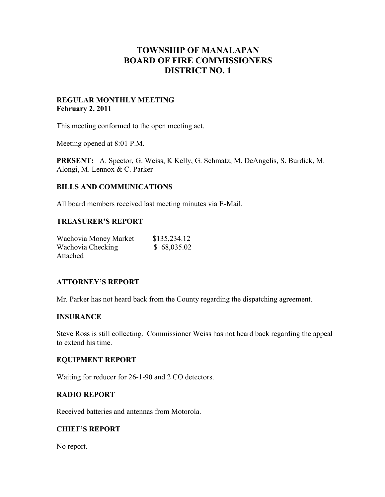# **TOWNSHIP OF MANALAPAN BOARD OF FIRE COMMISSIONERS DISTRICT NO. 1**

## **REGULAR MONTHLY MEETING February 2, 2011**

This meeting conformed to the open meeting act.

Meeting opened at 8:01 P.M.

**PRESENT:** A. Spector, G. Weiss, K Kelly, G. Schmatz, M. DeAngelis, S. Burdick, M. Alongi, M. Lennox & C. Parker

# **BILLS AND COMMUNICATIONS**

All board members received last meeting minutes via E-Mail.

#### **TREASURER'S REPORT**

| Wachovia Money Market | \$135,234.12 |
|-----------------------|--------------|
| Wachovia Checking     | \$68,035.02  |
| Attached              |              |

#### **ATTORNEY'S REPORT**

Mr. Parker has not heard back from the County regarding the dispatching agreement.

#### **INSURANCE**

Steve Ross is still collecting. Commissioner Weiss has not heard back regarding the appeal to extend his time.

#### **EQUIPMENT REPORT**

Waiting for reducer for 26-1-90 and 2 CO detectors.

#### **RADIO REPORT**

Received batteries and antennas from Motorola.

## **CHIEF'S REPORT**

No report.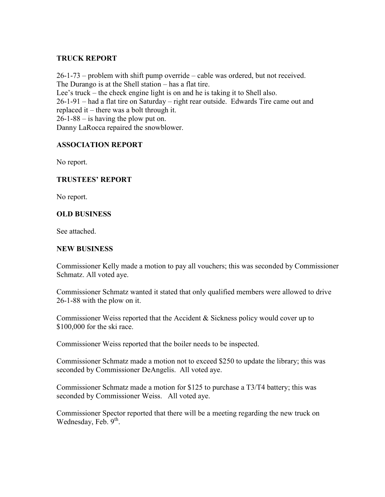# **TRUCK REPORT**

26-1-73 – problem with shift pump override – cable was ordered, but not received. The Durango is at the Shell station – has a flat tire. Lee's truck – the check engine light is on and he is taking it to Shell also. 26-1-91 – had a flat tire on Saturday – right rear outside. Edwards Tire came out and replaced it – there was a bolt through it. 26-1-88 – is having the plow put on. Danny LaRocca repaired the snowblower.

# **ASSOCIATION REPORT**

No report.

# **TRUSTEES' REPORT**

No report.

## **OLD BUSINESS**

See attached.

#### **NEW BUSINESS**

Commissioner Kelly made a motion to pay all vouchers; this was seconded by Commissioner Schmatz. All voted aye.

Commissioner Schmatz wanted it stated that only qualified members were allowed to drive 26-1-88 with the plow on it.

Commissioner Weiss reported that the Accident & Sickness policy would cover up to \$100,000 for the ski race.

Commissioner Weiss reported that the boiler needs to be inspected.

Commissioner Schmatz made a motion not to exceed \$250 to update the library; this was seconded by Commissioner DeAngelis. All voted aye.

Commissioner Schmatz made a motion for \$125 to purchase a T3/T4 battery; this was seconded by Commissioner Weiss. All voted aye.

Commissioner Spector reported that there will be a meeting regarding the new truck on Wednesday, Feb.  $9<sup>th</sup>$ .